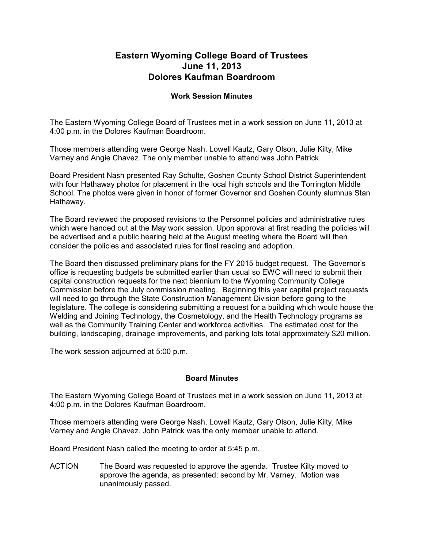## **Eastern Wyoming College Board of Trustees June 11, 2013 Dolores Kaufman Boardroom**

## **Work Session Minutes**

The Eastern Wyoming College Board of Trustees met in a work session on June 11, 2013 at 4:00 p.m. in the Dolores Kaufman Boardroom.

Those members attending were George Nash, Lowell Kautz, Gary Olson, Julie Kilty, Mike Varney and Angie Chavez. The only member unable to attend was John Patrick.

Board President Nash presented Ray Schulte, Goshen County School District Superintendent with four Hathaway photos for placement in the local high schools and the Torrington Middle School. The photos were given in honor of former Governor and Goshen County alumnus Stan Hathaway.

The Board reviewed the proposed revisions to the Personnel policies and administrative rules which were handed out at the May work session. Upon approval at first reading the policies will be advertised and a public hearing held at the August meeting where the Board will then consider the policies and associated rules for final reading and adoption.

The Board then discussed preliminary plans for the FY 2015 budget request. The Governor's office is requesting budgets be submitted earlier than usual so EWC will need to submit their capital construction requests for the next biennium to the Wyoming Community College Commission before the July commission meeting. Beginning this year capital project requests will need to go through the State Construction Management Division before going to the legislature. The college is considering submitting a request for a building which would house the Welding and Joining Technology, the Cosmetology, and the Health Technology programs as well as the Community Training Center and workforce activities. The estimated cost for the building, landscaping, drainage improvements, and parking lots total approximately \$20 million.

The work session adjourned at 5:00 p.m.

## **Board Minutes**

The Eastern Wyoming College Board of Trustees met in a work session on June 11, 2013 at 4:00 p.m. in the Dolores Kaufman Boardroom.

Those members attending were George Nash, Lowell Kautz, Gary Olson, Julie Kilty, Mike Varney and Angie Chavez. John Patrick was the only member unable to attend.

Board President Nash called the meeting to order at 5:45 p.m.

ACTION The Board was requested to approve the agenda. Trustee Kilty moved to approve the agenda, as presented; second by Mr. Varney. Motion was unanimously passed.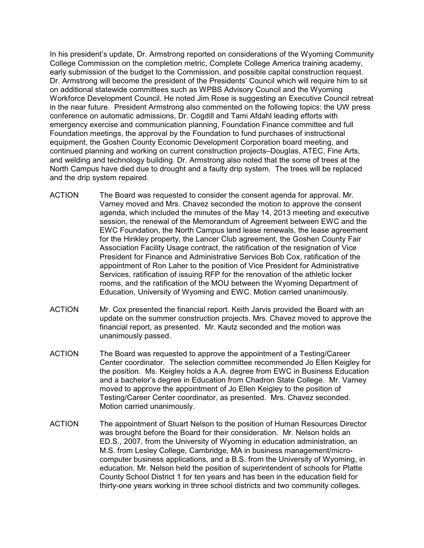In his president's update, Dr. Armstrong reported on considerations of the Wyoming Community College Commission on the completion metric, Complete College America training academy, early submission of the budget to the Commission, and possible capital construction request. Dr. Armstrong will become the president of the Presidents' Council which will require him to sit on additional statewide committees such as WPBS Advisory Council and the Wyoming Workforce Development Council. He noted Jim Rose is suggesting an Executive Council retreat in the near future. President Armstrong also commented on the following topics: the UW press conference on automatic admissions, Dr. Cogdill and Tami Afdahl leading efforts with emergency exercise and communication planning, Foundation Finance committee and full Foundation meetings, the approval by the Foundation to fund purchases of instructional equipment, the Goshen County Economic Development Corporation board meeting, and continued planning and working on current construction projects–Douglas, ATEC, Fine Arts, and welding and technology building. Dr. Armstrong also noted that the some of trees at the North Campus have died due to drought and a faulty drip system. The trees will be replaced and the drip system repaired.

- ACTION The Board was requested to consider the consent agenda for approval. Mr. Varney moved and Mrs. Chavez seconded the motion to approve the consent agenda, which included the minutes of the May 14, 2013 meeting and executive session, the renewal of the Memorandum of Agreement between EWC and the EWC Foundation, the North Campus land lease renewals, the lease agreement for the Hinkley property, the Lancer Club agreement, the Goshen County Fair Association Facility Usage contract, the ratification of the resignation of Vice President for Finance and Administrative Services Bob Cox, ratification of the appointment of Ron Laher to the position of Vice President for Administrative Services, ratification of issuing RFP for the renovation of the athletic locker rooms, and the ratification of the MOU between the Wyoming Department of Education, University of Wyoming and EWC. Motion carried unanimously.
- ACTION Mr. Cox presented the financial report. Keith Jarvis provided the Board with an update on the summer construction projects. Mrs. Chavez moved to approve the financial report, as presented. Mr. Kautz seconded and the motion was unanimously passed.
- ACTION The Board was requested to approve the appointment of a Testing/Career Center coordinator. The selection committee recommended Jo Ellen Keigley for the position. Ms. Keigley holds a A.A. degree from EWC in Business Education and a bachelor's degree in Education from Chadron State College. Mr. Varney moved to approve the appointment of Jo Ellen Keigley to the position of Testing/Career Center coordinator, as presented. Mrs. Chavez seconded. Motion carried unanimously.
- ACTION The appointment of Stuart Nelson to the position of Human Resources Director was brought before the Board for their consideration. Mr. Nelson holds an ED.S., 2007, from the University of Wyoming in education administration, an M.S. from Lesley College, Cambridge, MA in business management/microcomputer business applications, and a B.S. from the University of Wyoming, in education. Mr. Nelson held the position of superintendent of schools for Platte County School District 1 for ten years and has been in the education field for thirty-one years working in three school districts and two community colleges.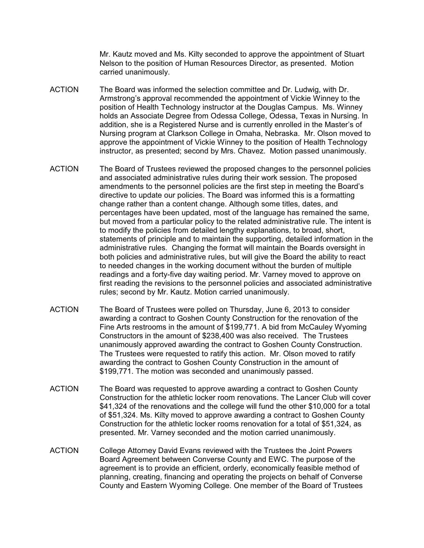Mr. Kautz moved and Ms. Kilty seconded to approve the appointment of Stuart Nelson to the position of Human Resources Director, as presented. Motion carried unanimously.

- ACTION The Board was informed the selection committee and Dr. Ludwig, with Dr. Armstrong's approval recommended the appointment of Vickie Winney to the position of Health Technology instructor at the Douglas Campus. Ms. Winney holds an Associate Degree from Odessa College, Odessa, Texas in Nursing. In addition, she is a Registered Nurse and is currently enrolled in the Master's of Nursing program at Clarkson College in Omaha, Nebraska. Mr. Olson moved to approve the appointment of Vickie Winney to the position of Health Technology instructor, as presented; second by Mrs. Chavez. Motion passed unanimously.
- ACTION The Board of Trustees reviewed the proposed changes to the personnel policies and associated administrative rules during their work session. The proposed amendments to the personnel policies are the first step in meeting the Board's directive to update our policies. The Board was informed this is a formatting change rather than a content change. Although some titles, dates, and percentages have been updated, most of the language has remained the same, but moved from a particular policy to the related administrative rule. The intent is to modify the policies from detailed lengthy explanations, to broad, short, statements of principle and to maintain the supporting, detailed information in the administrative rules. Changing the format will maintain the Boards oversight in both policies and administrative rules, but will give the Board the ability to react to needed changes in the working document without the burden of multiple readings and a forty-five day waiting period. Mr. Varney moved to approve on first reading the revisions to the personnel policies and associated administrative rules; second by Mr. Kautz. Motion carried unanimously.
- ACTION The Board of Trustees were polled on Thursday, June 6, 2013 to consider awarding a contract to Goshen County Construction for the renovation of the Fine Arts restrooms in the amount of \$199,771. A bid from McCauley Wyoming Constructors in the amount of \$238,400 was also received. The Trustees unanimously approved awarding the contract to Goshen County Construction. The Trustees were requested to ratify this action. Mr. Olson moved to ratify awarding the contract to Goshen County Construction in the amount of \$199,771. The motion was seconded and unanimously passed.
- ACTION The Board was requested to approve awarding a contract to Goshen County Construction for the athletic locker room renovations. The Lancer Club will cover \$41,324 of the renovations and the college will fund the other \$10,000 for a total of \$51,324. Ms. Kilty moved to approve awarding a contract to Goshen County Construction for the athletic locker rooms renovation for a total of \$51,324, as presented. Mr. Varney seconded and the motion carried unanimously.
- ACTION College Attorney David Evans reviewed with the Trustees the Joint Powers Board Agreement between Converse County and EWC. The purpose of the agreement is to provide an efficient, orderly, economically feasible method of planning, creating, financing and operating the projects on behalf of Converse County and Eastern Wyoming College. One member of the Board of Trustees